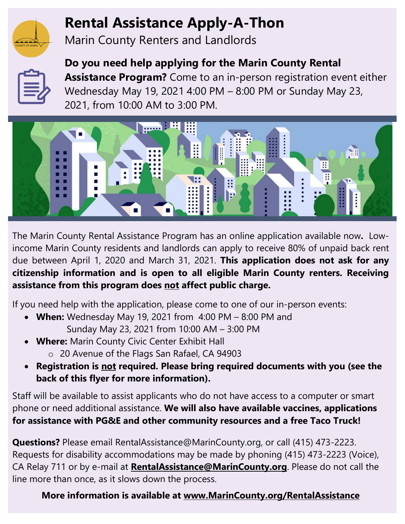

# **Rental Assistance Apply-A-Thon**

Marin County Renters and Landlords



**Do you need help applying for the Marin County Rental Assistance Program?** Come to an in-person registration event either Wednesday May 19, 2021 4:00 PM – 8:00 PM or Sunday May 23, 2021, from 10:00 AM to 3:00 PM.



The Marin County Rental Assistance Program has an online application available now**.** Lowincome Marin County residents and landlords can apply to receive 80% of unpaid back rent due between April 1, 2020 and March 31, 2021. **This application does not ask for any citizenship information and is open to all eligible Marin County renters. Receiving assistance from this program does not affect public charge.**

If you need help with the application, please come to one of our in-person events:

- **When:** Wednesday May 19, 2021 from 4:00 PM 8:00 PM and Sunday May 23, 2021 from 10:00 AM – 3:00 PM
- **Where:** Marin County Civic Center Exhibit Hall o 20 Avenue of the Flags San Rafael, CA 94903
- **Registration is not required. Please bring required documents with you (see the back of this flyer for more information).**

Staff will be available to assist applicants who do not have access to a computer or smart phone or need additional assistance. **We will also have available vaccines, applications for assistance with PG&E and other community resources and a free Taco Truck!**

**Questions?** Please email [RentalAssistance@MarinCounty.org,](https://www.marincounty.org/Global/Contact-Us-Form?id=AzL6Wd1VYKre5EdjDRPxFUTjOeyK9vOvHmg7sQFDfb4Pd5JIDngLdg==&dn=RentalAssistance@MarinCounty.org) or call (415) 473-2223. Requests for disability accommodations may be made by phoning (415) 473-2223 (Voice), CA Relay 711 or by e-mail at **[RentalAssistance@MarinCounty.org](file://co.marin.ca.us/fs1/CDAHousing/Housing%20Element/2015-2023%20Element/Implementation/Tenant%20Protections/Emergency%20Rental%20Assistance/Press%20and%20Outreach/Flyers%20+%20Social%20Media/RentalAssistance@MarinCounty.org)**. Please do not call the line more than once, as it slows down the process.

### **More information is available at [www.MarinCounty.org/RentalAssistance](file://co.marin.ca.us/fs1/CDAHousing/Housing%20Element/2015-2023%20Element/Implementation/Tenant%20Protections/Emergency%20Rental%20Assistance/Press%20and%20Outreach/Flyers%20+%20Social%20Media/www.MarinCounty.org/RentalAssistance)**